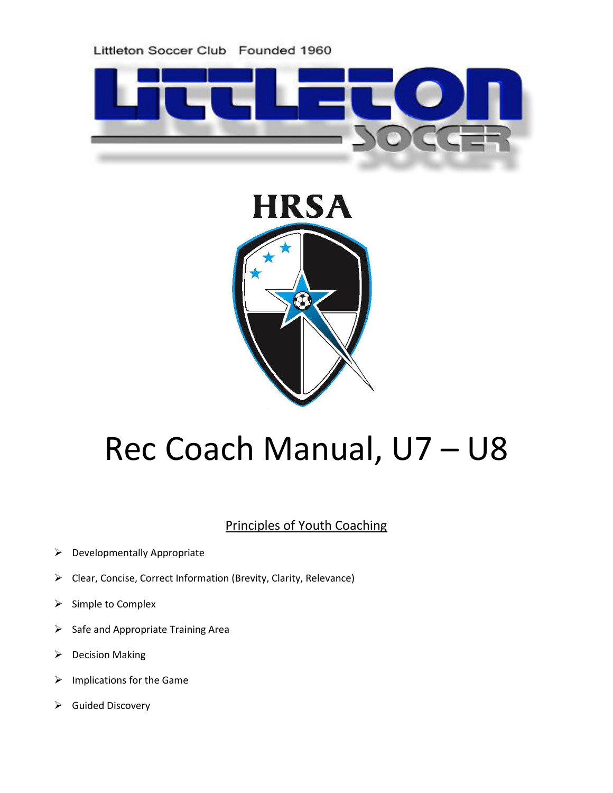



# Rec Coach Manual, U7 – U8

## Principles of Youth Coaching

- $\triangleright$  Developmentally Appropriate
- Clear, Concise, Correct Information (Brevity, Clarity, Relevance)
- $\triangleright$  Simple to Complex
- $\triangleright$  Safe and Appropriate Training Area
- $\triangleright$  Decision Making
- $\triangleright$  Implications for the Game
- $\triangleright$  Guided Discovery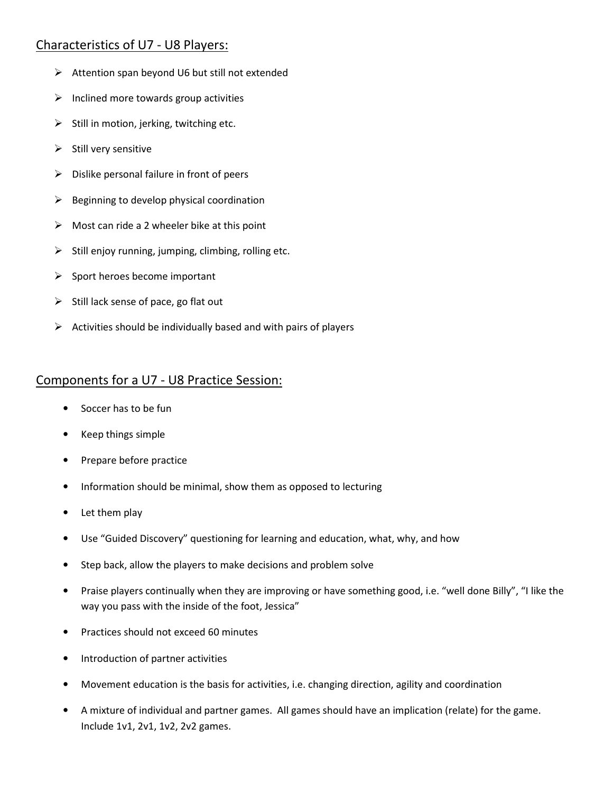#### Characteristics of U7 - U8 Players:

- $\triangleright$  Attention span beyond U6 but still not extended
- $\triangleright$  Inclined more towards group activities
- $\triangleright$  Still in motion, jerking, twitching etc.
- $\triangleright$  Still very sensitive
- $\triangleright$  Dislike personal failure in front of peers
- $\triangleright$  Beginning to develop physical coordination
- $\triangleright$  Most can ride a 2 wheeler bike at this point
- $\triangleright$  Still enjoy running, jumping, climbing, rolling etc.
- $\triangleright$  Sport heroes become important
- $\triangleright$  Still lack sense of pace, go flat out
- $\triangleright$  Activities should be individually based and with pairs of players

#### Components for a U7 - U8 Practice Session:

- Soccer has to be fun
- Keep things simple
- Prepare before practice
- Information should be minimal, show them as opposed to lecturing
- Let them play
- Use "Guided Discovery" questioning for learning and education, what, why, and how
- Step back, allow the players to make decisions and problem solve
- Praise players continually when they are improving or have something good, i.e. "well done Billy", "I like the way you pass with the inside of the foot, Jessica"
- Practices should not exceed 60 minutes
- Introduction of partner activities
- Movement education is the basis for activities, i.e. changing direction, agility and coordination
- A mixture of individual and partner games. All games should have an implication (relate) for the game. Include 1v1, 2v1, 1v2, 2v2 games.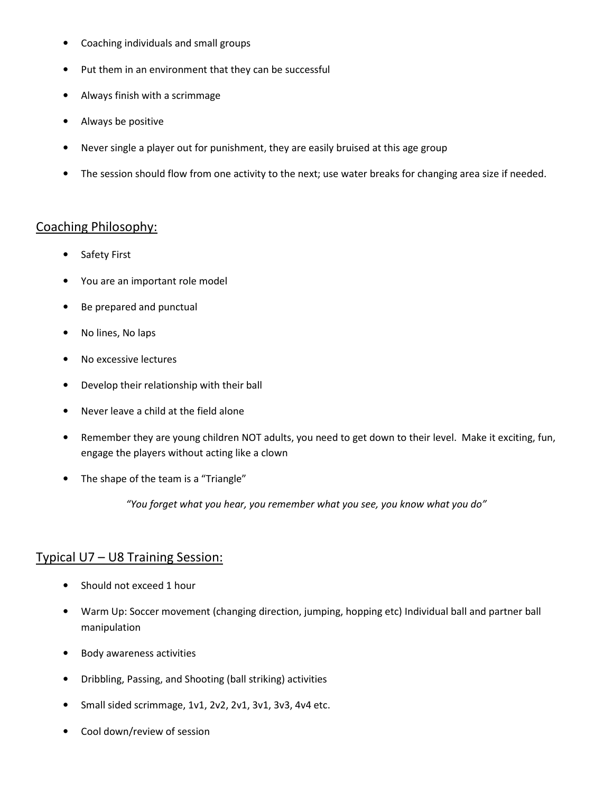- Coaching individuals and small groups
- Put them in an environment that they can be successful
- Always finish with a scrimmage
- Always be positive
- Never single a player out for punishment, they are easily bruised at this age group
- The session should flow from one activity to the next; use water breaks for changing area size if needed.

#### Coaching Philosophy:

- Safety First
- You are an important role model
- Be prepared and punctual
- No lines, No laps
- No excessive lectures
- Develop their relationship with their ball
- Never leave a child at the field alone
- Remember they are young children NOT adults, you need to get down to their level. Make it exciting, fun, engage the players without acting like a clown
- The shape of the team is a "Triangle"

"You forget what you hear, you remember what you see, you know what you do"

#### Typical U7 – U8 Training Session:

- Should not exceed 1 hour
- Warm Up: Soccer movement (changing direction, jumping, hopping etc) Individual ball and partner ball manipulation
- Body awareness activities
- Dribbling, Passing, and Shooting (ball striking) activities
- Small sided scrimmage, 1v1, 2v2, 2v1, 3v1, 3v3, 4v4 etc.
- Cool down/review of session